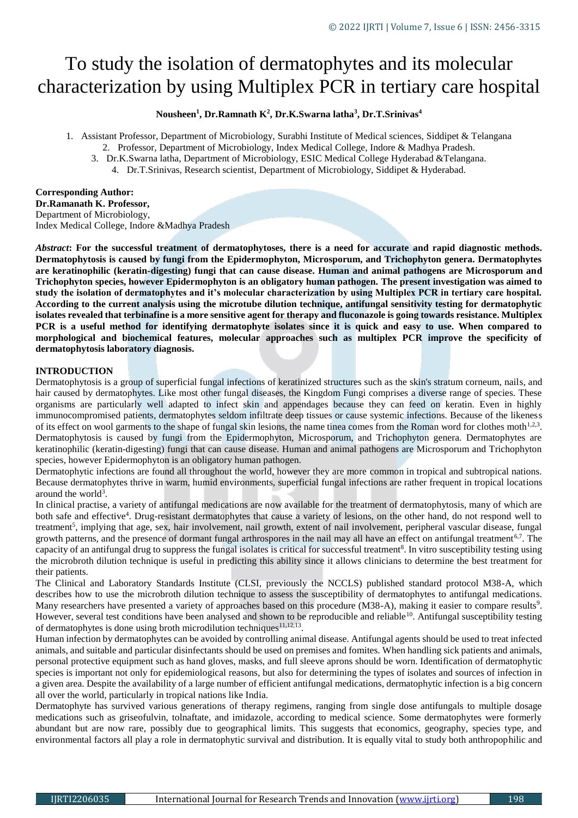# To study the isolation of dermatophytes and its molecular characterization by using Multiplex PCR in tertiary care hospital

#### **Nousheen<sup>1</sup> , Dr.Ramnath K<sup>2</sup> , Dr.K.Swarna latha<sup>3</sup> , Dr.T.Srinivas<sup>4</sup>**

- 1. Assistant Professor, Department of Microbiology, Surabhi Institute of Medical sciences, Siddipet & Telangana
	- 2. Professor, Department of Microbiology, Index Medical College, Indore & Madhya Pradesh.
	- 3. Dr.K.Swarna latha, Department of Microbiology, ESIC Medical College Hyderabad &Telangana.
		- 4. Dr.T.Srinivas, Research scientist, Department of Microbiology, Siddipet & Hyderabad.

#### **Corresponding Author:**

**Dr.Ramanath K. Professor,** Department of Microbiology, Index Medical College, Indore &Madhya Pradesh

*Abstract***: For the successful treatment of dermatophytoses, there is a need for accurate and rapid diagnostic methods. Dermatophytosis is caused by fungi from the Epidermophyton, Microsporum, and Trichophyton genera. Dermatophytes are keratinophilic (keratin-digesting) fungi that can cause disease. Human and animal pathogens are Microsporum and Trichophyton species, however Epidermophyton is an obligatory human pathogen. The present investigation was aimed to study the isolation of dermatophytes and it's molecular characterization by using Multiplex PCR in tertiary care hospital. According to the current analysis using the microtube dilution technique, antifungal sensitivity testing for dermatophytic isolates revealed that terbinafine is a more sensitive agent for therapy and fluconazole is going towards resistance. Multiplex PCR is a useful method for identifying dermatophyte isolates since it is quick and easy to use. When compared to morphological and biochemical features, molecular approaches such as multiplex PCR improve the specificity of dermatophytosis laboratory diagnosis.**

#### **INTRODUCTION**

Dermatophytosis is a group of superficial fungal infections of keratinized structures such as the skin's stratum corneum, nails, and hair caused by dermatophytes. Like most other fungal diseases, the Kingdom Fungi comprises a diverse range of species. These organisms are particularly well adapted to infect skin and appendages because they can feed on keratin. Even in highly immunocompromised patients, dermatophytes seldom infiltrate deep tissues or cause systemic infections. Because of the likeness of its effect on wool garments to the shape of fungal skin lesions, the name tinea comes from the Roman word for clothes moth $1.2,3$ . Dermatophytosis is caused by fungi from the Epidermophyton, Microsporum, and Trichophyton genera. Dermatophytes are keratinophilic (keratin-digesting) fungi that can cause disease. Human and animal pathogens are Microsporum and Trichophyton species, however Epidermophyton is an obligatory human pathogen.

Dermatophytic infections are found all throughout the world, however they are more common in tropical and subtropical nations. Because dermatophytes thrive in warm, humid environments, superficial fungal infections are rather frequent in tropical locations around the world<sup>3</sup>.

In clinical practise, a variety of antifungal medications are now available for the treatment of dermatophytosis, many of which are both safe and effective<sup>4</sup>. Drug-resistant dermatophytes that cause a variety of lesions, on the other hand, do not respond well to treatment<sup>5</sup>, implying that age, sex, hair involvement, nail growth, extent of nail involvement, peripheral vascular disease, fungal growth patterns, and the presence of dormant fungal arthrospores in the nail may all have an effect on antifungal treatment<sup>6,7</sup>. The capacity of an antifungal drug to suppress the fungal isolates is critical for successful treatment<sup>8</sup>. In vitro susceptibility testing using the microbroth dilution technique is useful in predicting this ability since it allows clinicians to determine the best treatment for their patients.

The Clinical and Laboratory Standards Institute (CLSI, previously the NCCLS) published standard protocol M38-A, which describes how to use the microbroth dilution technique to assess the susceptibility of dermatophytes to antifungal medications. Many researchers have presented a variety of approaches based on this procedure (M38-A), making it easier to compare results<sup>9</sup>. However, several test conditions have been analysed and shown to be reproducible and reliable<sup>10</sup>. Antifungal susceptibility testing of dermatophytes is done using broth microdilution techniques  $11,12,13$ .

Human infection by dermatophytes can be avoided by controlling animal disease. Antifungal agents should be used to treat infected animals, and suitable and particular disinfectants should be used on premises and fomites. When handling sick patients and animals, personal protective equipment such as hand gloves, masks, and full sleeve aprons should be worn. Identification of dermatophytic species is important not only for epidemiological reasons, but also for determining the types of isolates and sources of infection in a given area. Despite the availability of a large number of efficient antifungal medications, dermatophytic infection is a big concern all over the world, particularly in tropical nations like India.

Dermatophyte has survived various generations of therapy regimens, ranging from single dose antifungals to multiple dosage medications such as griseofulvin, tolnaftate, and imidazole, according to medical science. Some dermatophytes were formerly abundant but are now rare, possibly due to geographical limits. This suggests that economics, geography, species type, and environmental factors all play a role in dermatophytic survival and distribution. It is equally vital to study both anthropophilic and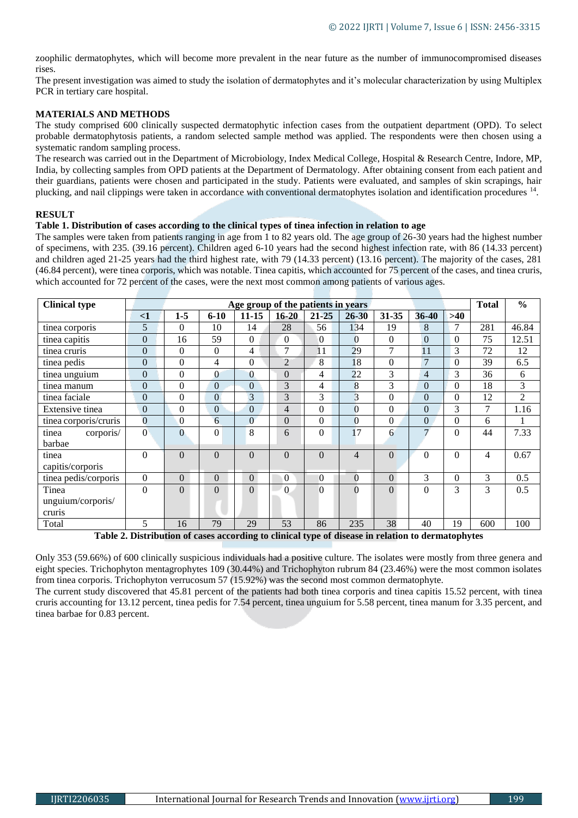zoophilic dermatophytes, which will become more prevalent in the near future as the number of immunocompromised diseases rises.

The present investigation was aimed to study the isolation of dermatophytes and it's molecular characterization by using Multiplex PCR in tertiary care hospital.

#### **MATERIALS AND METHODS**

The study comprised 600 clinically suspected dermatophytic infection cases from the outpatient department (OPD). To select probable dermatophytosis patients, a random selected sample method was applied. The respondents were then chosen using a systematic random sampling process.

The research was carried out in the Department of Microbiology, Index Medical College, Hospital & Research Centre, Indore, MP, India, by collecting samples from OPD patients at the Department of Dermatology. After obtaining consent from each patient and their guardians, patients were chosen and participated in the study. Patients were evaluated, and samples of skin scrapings, hair plucking, and nail clippings were taken in accordance with conventional dermatophytes isolation and identification procedures <sup>14</sup> .

#### **RESULT**

#### **Table 1. Distribution of cases according to the clinical types of tinea infection in relation to age**

The samples were taken from patients ranging in age from 1 to 82 years old. The age group of 26-30 years had the highest number of specimens, with 235. (39.16 percent). Children aged 6-10 years had the second highest infection rate, with 86 (14.33 percent) and children aged 21-25 years had the third highest rate, with 79 (14.33 percent) (13.16 percent). The majority of the cases, 281 (46.84 percent), were tinea corporis, which was notable. Tinea capitis, which accounted for 75 percent of the cases, and tinea cruris, which accounted for 72 percent of the cases, were the next most common among patients of various ages.

| <b>Clinical type</b>  |                  | Age group of the patients in years |                  |                |                |                     |                |                  |                | <b>Total</b>   | $\frac{0}{0}$ |                |
|-----------------------|------------------|------------------------------------|------------------|----------------|----------------|---------------------|----------------|------------------|----------------|----------------|---------------|----------------|
|                       | $\leq$ 1         | $1 - 5$                            | $6 - 10$         | $11 - 15$      | $16 - 20$      | $21 - 25$           | $26 - 30$      | $31 - 35$        | $36 - 40$      | $>40$          |               |                |
| tinea corporis        | 5                | $\Omega$                           | 10               | 14             | 28             | 56                  | 134            | 19               | 8              | 7              | 281           | 46.84          |
| tinea capitis         | $\overline{0}$   | 16                                 | 59               | $\Omega$       | 0              | $\overline{0}$      | $\theta$       | $\overline{0}$   | $\mathbf{0}$   | $\theta$       | 75            | 12.51          |
| tinea cruris          | $\overline{0}$   | $\Omega$                           | $\mathbf{0}$     | 4              | 7              | 11                  | 29             | 7                | 11             | 3              | 72            | 12             |
| tinea pedis           | $\overline{0}$   | $\theta$                           | $\overline{4}$   | $\theta$       | $\overline{2}$ | 8                   | 18             | $\boldsymbol{0}$ | $\overline{7}$ | $\mathbf{0}$   | 39            | 6.5            |
| tinea unguium         | $\overline{0}$   | $\theta$                           | $\overline{0}$   | $\Omega$       | $\overline{0}$ | 4                   | 22             | 3                | 4              | 3              | 36            | 6              |
| tinea manum           | $\overline{0}$   | $\Omega$                           | $\mathbf{0}$     | $\theta$       | 3              | 4                   | 8              | 3                | $\Omega$       | $\theta$       | 18            | 3              |
| tinea faciale         | $\mathbf{0}$     | $\theta$                           | $\Omega$         | 3              | 3              | 3                   | 3              | $\theta$         | $\theta$       | $\theta$       | 12            | $\overline{2}$ |
| Extensive tinea       | $\boldsymbol{0}$ | $\mathbf{0}$                       | $\mathbf{0}$     | $\mathbf{0}$   | $\overline{4}$ | $\overline{0}$      | $\mathbf{0}$   | $\mathbf{0}$     | $\mathbf{0}$   | 3              | 7             | 1.16           |
| tinea corporis/cruris | $\overline{0}$   | $\mathbf{0}$                       | 6                | $\theta$       | $\overline{0}$ | $\theta$            | $\overline{0}$ | $\theta$         | $\overline{0}$ | $\overline{0}$ | 6             |                |
| tinea<br>corporis/    | $\Omega$         | $\theta$                           | $\boldsymbol{0}$ | 8              | 6              | $\Omega$            | 17             | 6                | 7              | $\theta$       | 44            | 7.33           |
| barbae                |                  |                                    |                  |                |                |                     |                |                  |                |                |               |                |
| tinea                 | $\theta$         | $\Omega$                           | $\Omega$         | $\Omega$       | $\theta$       | $\Omega$            | $\overline{4}$ | $\theta$         | $\Omega$       | $\theta$       | 4             | 0.67           |
| capitis/corporis      |                  |                                    |                  |                |                |                     |                |                  |                |                |               |                |
| tinea pedis/corporis  | $\boldsymbol{0}$ | $\overline{0}$                     | $\theta$         | $\overline{0}$ | $\overline{0}$ | $\overline{0}$      | $\overline{0}$ | $\overline{0}$   | 3              | $\overline{0}$ | 3             | 0.5            |
| Tinea                 | $\theta$         | $\theta$                           | $\theta$         | $\Omega$       | $\theta$       | $\theta$            | $\Omega$       | $\theta$         | $\Omega$       | 3              | 3             | 0.5            |
| unguium/corporis/     |                  |                                    |                  |                |                |                     |                |                  |                |                |               |                |
| cruris                |                  |                                    |                  |                |                |                     |                |                  |                |                |               |                |
| Total                 | 5                | 16                                 | 79               | 29             | 53             | 86<br>$\sim$ $\sim$ | 235            | 38<br>$ -$       | 40             | 19             | 600           | 100            |

**Table 2. Distribution of cases according to clinical type of disease in relation to dermatophytes**

Only 353 (59.66%) of 600 clinically suspicious individuals had a positive culture. The isolates were mostly from three genera and eight species. Trichophyton mentagrophytes 109 (30.44%) and Trichophyton rubrum 84 (23.46%) were the most common isolates from tinea corporis. Trichophyton verrucosum 57 (15.92%) was the second most common dermatophyte.

The current study discovered that 45.81 percent of the patients had both tinea corporis and tinea capitis 15.52 percent, with tinea cruris accounting for 13.12 percent, tinea pedis for 7.54 percent, tinea unguium for 5.58 percent, tinea manum for 3.35 percent, and tinea barbae for 0.83 percent.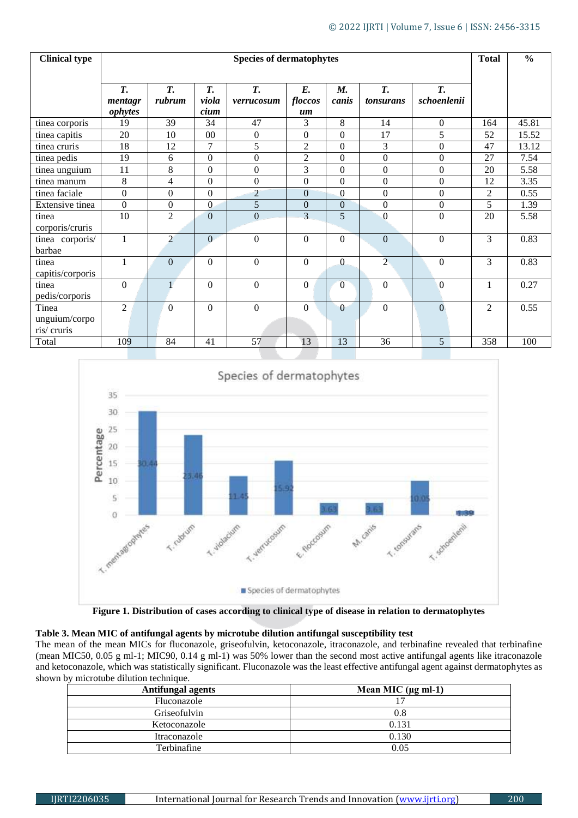| <b>Clinical type</b>                 | <b>Species of dermatophytes</b> |                |                     |                  |                     |                  |                  | <b>Total</b>             | $\frac{0}{0}$  |       |
|--------------------------------------|---------------------------------|----------------|---------------------|------------------|---------------------|------------------|------------------|--------------------------|----------------|-------|
|                                      | <b>T.</b><br>mentagr<br>ophytes | T.<br>rubrum   | T.<br>viola<br>cium | T.<br>verrucosum | E.<br>floccos<br>um | M.<br>canis      | T.<br>tonsurans  | <b>T.</b><br>schoenlenii |                |       |
| tinea corporis                       | 19                              | 39             | 34                  | 47               | 3                   | 8                | 14               | $\boldsymbol{0}$         | 164            | 45.81 |
| tinea capitis                        | 20                              | 10             | 00                  | $\mathbf{0}$     | $\Omega$            | $\Omega$         | 17               | 5                        | 52             | 15.52 |
| tinea cruris                         | 18                              | 12             | 7                   | 5                | $\overline{2}$      | $\Omega$         | $\overline{3}$   | $\boldsymbol{0}$         | 47             | 13.12 |
| tinea pedis                          | 19                              | 6              | $\boldsymbol{0}$    | $\mathbf{0}$     | $\overline{2}$      | $\Omega$         | $\Omega$         | $\boldsymbol{0}$         | 27             | 7.54  |
| tinea unguium                        | 11                              | 8              | $\boldsymbol{0}$    | $\boldsymbol{0}$ | 3                   | $\Omega$         | $\boldsymbol{0}$ | $\boldsymbol{0}$         | 20             | 5.58  |
| tinea manum                          | 8                               | 4              | $\boldsymbol{0}$    | $\mathbf{0}$     | $\overline{0}$      | $\Omega$         | $\overline{0}$   | $\overline{0}$           | 12             | 3.35  |
| tinea faciale                        | $\overline{0}$                  | $\mathbf{0}$   | $\overline{0}$      | $\overline{c}$   | $\overline{0}$      | $\overline{0}$   | $\boldsymbol{0}$ | $\overline{0}$           | $\overline{2}$ | 0.55  |
| Extensive tinea                      | $\Omega$                        | $\overline{0}$ | $\overline{0}$      | 5                | $\Omega$            | $\boldsymbol{0}$ | $\theta$         | $\boldsymbol{0}$         | 5              | 1.39  |
| tinea<br>corporis/cruris             | 10                              | $\mathfrak{2}$ | $\mathbf{0}$        | $\mathbf{0}$     | 3                   | 5                | $\boldsymbol{0}$ | $\boldsymbol{0}$         | 20             | 5.58  |
| tinea corporis/<br>barbae            | $\mathbf{1}$                    | $\overline{2}$ | $\Omega$            | $\boldsymbol{0}$ | $\Omega$            | $\Omega$         | $\mathbf{0}$     | $\Omega$                 | 3              | 0.83  |
| tinea<br>capitis/corporis            | $\mathbf{1}$                    | $\overline{0}$ | $\theta$            | $\mathbf{0}$     | $\Omega$            | $\Omega$         | $\overline{2}$   | $\boldsymbol{0}$         | 3              | 0.83  |
| tinea<br>pedis/corporis              | $\mathbf{0}$                    | $\mathbf{1}$   | $\theta$            | $\theta$         | $\Omega$            | $\overline{0}$   | $\Omega$         | $\theta$                 |                | 0.27  |
| Tinea<br>unguium/corpo<br>ris/cruris | $\overline{2}$                  | $\Omega$       | $\Omega$            | $\theta$         | $\Omega$            | $\Omega$         | $\Omega$         | $\Omega$                 | $\overline{c}$ | 0.55  |
| Total                                | 109                             | 84             | 41                  | 57               | 13                  | 13               | 36               | 5                        | 358            | 100   |





# **Table 3. Mean MIC of antifungal agents by microtube dilution antifungal susceptibility test**

The mean of the mean MICs for fluconazole, griseofulvin, ketoconazole, itraconazole, and terbinafine revealed that terbinafine (mean MIC50, 0.05 g ml-1; MIC90, 0.14 g ml-1) was 50% lower than the second most active antifungal agents like itraconazole and ketoconazole, which was statistically significant. Fluconazole was the least effective antifungal agent against dermatophytes as shown by microtube dilution technique.

| <b>Antifungal agents</b> | Mean MIC $(\mu g \text{ ml-1})$ |
|--------------------------|---------------------------------|
| Fluconazole              |                                 |
| Griseofulvin             | 0.8                             |
| Ketoconazole             | 0.131                           |
| Itraconazole             | 0.130                           |
| Terbinafine              | 0.05                            |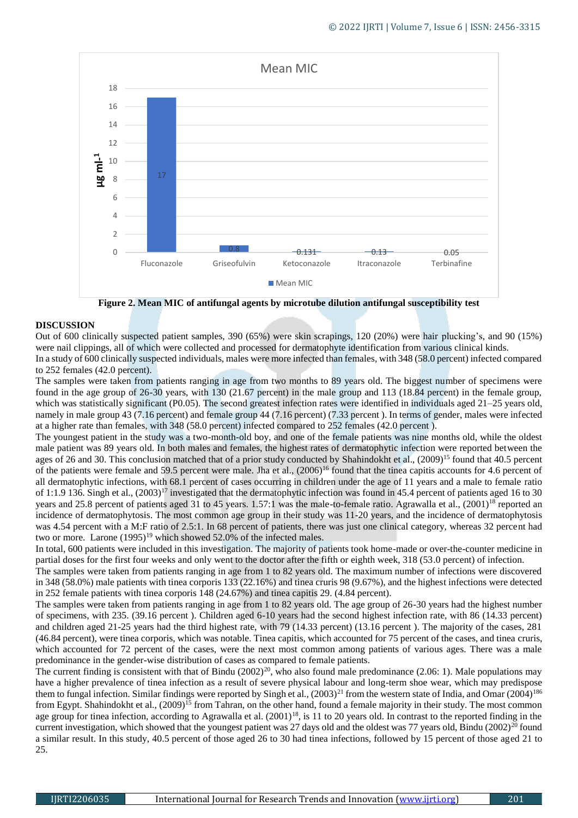

**Figure 2. Mean MIC of antifungal agents by microtube dilution antifungal susceptibility test**

# **DISCUSSION**

Out of 600 clinically suspected patient samples, 390 (65%) were skin scrapings, 120 (20%) were hair plucking's, and 90 (15%) were nail clippings, all of which were collected and processed for dermatophyte identification from various clinical kinds. In a study of 600 clinically suspected individuals, males were more infected than females, with 348 (58.0 percent) infected compared

# to 252 females (42.0 percent).

The samples were taken from patients ranging in age from two months to 89 years old. The biggest number of specimens were found in the age group of 26-30 years, with 130 (21.67 percent) in the male group and 113 (18.84 percent) in the female group, which was statistically significant (P0.05). The second greatest infection rates were identified in individuals aged 21–25 years old, namely in male group 43 (7.16 percent) and female group 44 (7.16 percent) (7.33 percent ). In terms of gender, males were infected at a higher rate than females, with 348 (58.0 percent) infected compared to 252 females (42.0 percent ).

The youngest patient in the study was a two-month-old boy, and one of the female patients was nine months old, while the oldest male patient was 89 years old. In both males and females, the highest rates of dermatophytic infection were reported between the ages of 26 and 30. This conclusion matched that of a prior study conducted by Shahindokht et al., (2009)<sup>15</sup> found that 40.5 percent of the patients were female and 59.5 percent were male. Jha et al., (2006)<sup>16</sup> found that the tinea capitis accounts for 4.6 percent of all dermatophytic infections, with 68.1 percent of cases occurring in children under the age of 11 years and a male to female ratio of 1:1.9 136. Singh et al., (2003)<sup>17</sup> investigated that the dermatophytic infection was found in 45.4 percent of patients aged 16 to 30 years and 25.8 percent of patients aged 31 to 45 years. 1.57:1 was the male-to-female ratio. Agrawalla et al.,  $(2001)^{18}$  reported an incidence of dermatophytosis. The most common age group in their study was 11-20 years, and the incidence of dermatophytosis was 4.54 percent with a M:F ratio of 2.5:1. In 68 percent of patients, there was just one clinical category, whereas 32 percent had two or more. Larone  $(1995)^{19}$  which showed 52.0% of the infected males.

In total, 600 patients were included in this investigation. The majority of patients took home-made or over-the-counter medicine in partial doses for the first four weeks and only went to the doctor after the fifth or eighth week, 318 (53.0 percent) of infection.

The samples were taken from patients ranging in age from 1 to 82 years old. The maximum number of infections were discovered in 348 (58.0%) male patients with tinea corporis 133 (22.16%) and tinea cruris 98 (9.67%), and the highest infections were detected in 252 female patients with tinea corporis 148 (24.67%) and tinea capitis 29. (4.84 percent).

The samples were taken from patients ranging in age from 1 to 82 years old. The age group of 26-30 years had the highest number of specimens, with 235. (39.16 percent ). Children aged 6-10 years had the second highest infection rate, with 86 (14.33 percent) and children aged 21-25 years had the third highest rate, with 79 (14.33 percent) (13.16 percent ). The majority of the cases, 281 (46.84 percent), were tinea corporis, which was notable. Tinea capitis, which accounted for 75 percent of the cases, and tinea cruris, which accounted for 72 percent of the cases, were the next most common among patients of various ages. There was a male predominance in the gender-wise distribution of cases as compared to female patients.

The current finding is consistent with that of Bindu  $(2002)^{20}$ , who also found male predominance  $(2.06: 1)$ . Male populations may have a higher prevalence of tinea infection as a result of severe physical labour and long-term shoe wear, which may predispose them to fungal infection. Similar findings were reported by Singh et al.,  $(2003)^{21}$  from the western state of India, and Omar  $(2004)^{186}$ from Egypt. Shahindokht et al., (2009)<sup>15</sup> from Tahran, on the other hand, found a female majority in their study. The most common age group for tinea infection, according to Agrawalla et al.  $(2001)^{18}$ , is 11 to 20 years old. In contrast to the reported finding in the current investigation, which showed that the youngest patient was 27 days old and the oldest was 77 years old, Bindu  $(2002)^{20}$  found a similar result. In this study, 40.5 percent of those aged 26 to 30 had tinea infections, followed by 15 percent of those aged 21 to 25.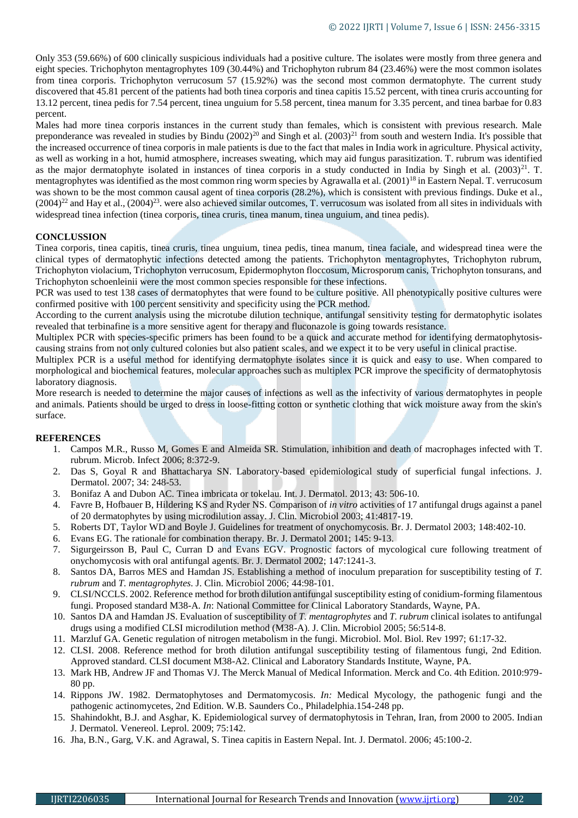Only 353 (59.66%) of 600 clinically suspicious individuals had a positive culture. The isolates were mostly from three genera and eight species. Trichophyton mentagrophytes 109 (30.44%) and Trichophyton rubrum 84 (23.46%) were the most common isolates from tinea corporis. Trichophyton verrucosum 57 (15.92%) was the second most common dermatophyte. The current study discovered that 45.81 percent of the patients had both tinea corporis and tinea capitis 15.52 percent, with tinea cruris accounting for 13.12 percent, tinea pedis for 7.54 percent, tinea unguium for 5.58 percent, tinea manum for 3.35 percent, and tinea barbae for 0.83 percent.

Males had more tinea corporis instances in the current study than females, which is consistent with previous research. Male preponderance was revealed in studies by Bindu  $(2002)^{20}$  and Singh et al.  $(2003)^{21}$  from south and western India. It's possible that the increased occurrence of tinea corporis in male patients is due to the fact that males in India work in agriculture. Physical activity, as well as working in a hot, humid atmosphere, increases sweating, which may aid fungus parasitization. T. rubrum was identified as the major dermatophyte isolated in instances of tinea corporis in a study conducted in India by Singh et al.  $(2003)^{21}$ . T. mentagrophytes was identified as the most common ring worm species by Agrawalla et al.  $(2001)^{18}$  in Eastern Nepal. T. verrucosum was shown to be the most common causal agent of tinea corporis (28.2%), which is consistent with previous findings. Duke et al.,  $(2004)^{22}$  and Hay et al.,  $(2004)^{23}$ . were also achieved similar outcomes, T. verrucosum was isolated from all sites in individuals with widespread tinea infection (tinea corporis, tinea cruris, tinea manum, tinea unguium, and tinea pedis).

# **CONCLUSSION**

Tinea corporis, tinea capitis, tinea cruris, tinea unguium, tinea pedis, tinea manum, tinea faciale, and widespread tinea were the clinical types of dermatophytic infections detected among the patients. Trichophyton mentagrophytes, Trichophyton rubrum, Trichophyton violacium, Trichophyton verrucosum, Epidermophyton floccosum, Microsporum canis, Trichophyton tonsurans, and Trichophyton schoenleinii were the most common species responsible for these infections.

PCR was used to test 138 cases of dermatophytes that were found to be culture positive. All phenotypically positive cultures were confirmed positive with 100 percent sensitivity and specificity using the PCR method.

According to the current analysis using the microtube dilution technique, antifungal sensitivity testing for dermatophytic isolates revealed that terbinafine is a more sensitive agent for therapy and fluconazole is going towards resistance.

Multiplex PCR with species-specific primers has been found to be a quick and accurate method for identifying dermatophytosiscausing strains from not only cultured colonies but also patient scales, and we expect it to be very useful in clinical practise.

Multiplex PCR is a useful method for identifying dermatophyte isolates since it is quick and easy to use. When compared to morphological and biochemical features, molecular approaches such as multiplex PCR improve the specificity of dermatophytosis laboratory diagnosis.

More research is needed to determine the major causes of infections as well as the infectivity of various dermatophytes in people and animals. Patients should be urged to dress in loose-fitting cotton or synthetic clothing that wick moisture away from the skin's surface.

# **REFERENCES**

- 1. Campos M.R., Russo M, Gomes E and Almeida SR. Stimulation, inhibition and death of macrophages infected with T. rubrum. Microb. Infect 2006; 8:372-9.
- 2. Das S, Goyal R and Bhattacharya SN. Laboratory-based epidemiological study of superficial fungal infections. J. Dermatol. 2007; 34: 248-53.
- 3. Bonifaz A and Dubon AC. Tinea imbricata or tokelau. Int. J. Dermatol. 2013; 43: 506-10.
- 4. Favre B, Hofbauer B, Hildering KS and Ryder NS. Comparison of *in vitro* activities of 17 antifungal drugs against a panel of 20 dermatophytes by using microdilution assay. J. Clin. Microbiol 2003; 41:4817-19.
- 5. Roberts DT, Taylor WD and Boyle J. Guidelines for treatment of onychomycosis. Br. J. Dermatol 2003; 148:402-10.
- 6. Evans EG. The rationale for combination therapy. Br. J. Dermatol 2001; 145: 9-13.
- 7. Sigurgeirsson B, Paul C, Curran D and Evans EGV. Prognostic factors of mycological cure following treatment of onychomycosis with oral antifungal agents. Br. J. Dermatol 2002; 147:1241-3.
- 8. Santos DA, Barros MES and Hamdan JS. Establishing a method of inoculum preparation for susceptibility testing of *T. rubrum* and *T. mentagrophytes*. J. Clin. Microbiol 2006; 44:98-101.
- 9. CLSI/NCCLS. 2002. Reference method for broth dilution antifungal susceptibility esting of conidium-forming filamentous fungi. Proposed standard M38-A. *In*: National Committee for Clinical Laboratory Standards, Wayne, PA.
- 10. Santos DA and Hamdan JS. Evaluation of susceptibility of *T. mentagrophytes* and *T. rubrum* clinical isolates to antifungal drugs using a modified CLSI microdilution method (M38-A). J. Clin. Microbiol 2005; 56:514-8.
- 11. Marzluf GA. Genetic regulation of nitrogen metabolism in the fungi. Microbiol. Mol. Biol. Rev 1997; 61:17-32.
- 12. CLSI. 2008. Reference method for broth dilution antifungal susceptibility testing of filamentous fungi, 2nd Edition. Approved standard. CLSI document M38-A2. Clinical and Laboratory Standards Institute, Wayne, PA.
- 13. Mark HB, Andrew JF and Thomas VJ. The Merck Manual of Medical Information. Merck and Co. 4th Edition. 2010:979- 80 pp.
- 14. Rippons JW. 1982. Dermatophytoses and Dermatomycosis. *In:* Medical Mycology, the pathogenic fungi and the pathogenic actinomycetes, 2nd Edition. W.B. Saunders Co., Philadelphia.154-248 pp.
- 15. Shahindokht, B.J. and Asghar, K. Epidemiological survey of dermatophytosis in Tehran, Iran, from 2000 to 2005. Indian J. Dermatol. Venereol. Leprol. 2009; 75:142.
- 16. Jha, B.N., Garg, V.K. and Agrawal, S. Tinea capitis in Eastern Nepal. Int. J. Dermatol. 2006; 45:100-2.